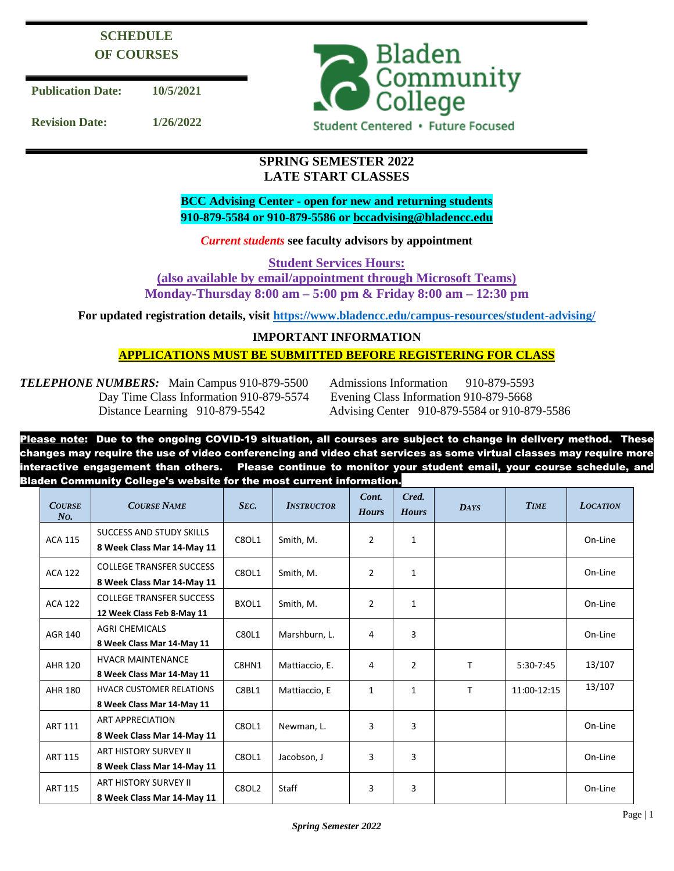# **SCHEDULE OF COURSES**

**Publication Date: 10/5/2021**

**Revision Date: 1/26/2022**



## **SPRING SEMESTER 2022 LATE START CLASSES**

**BCC Advising Center - open for new and returning students 910-879-5584 or 910-879-5586 or [bccadvising@bladencc.edu](mailto:bccadvising@bladencc.edu)**

*Current students* **see faculty advisors by appointment**

**Student Services Hours:**

**(also available by email/appointment through Microsoft Teams) Monday-Thursday 8:00 am – 5:00 pm & Friday 8:00 am – 12:30 pm**

**For updated registration details, visit<https://www.bladencc.edu/campus-resources/student-advising/>**

## **IMPORTANT INFORMATION**

## **APPLICATIONS MUST BE SUBMITTED BEFORE REGISTERING FOR CLASS**

*TELEPHONE NUMBERS:* Main Campus 910-879-5500 Admissions Information 910-879-5593 Day Time Class Information 910-879-5574 Evening Class Information 910-879-5668

Distance Learning 910-879-5542 Advising Center 910-879-5584 or 910-879-5586

Please note: Due to the ongoing COVID-19 situation, all courses are subject to change in delivery method. These changes may require the use of video conferencing and video chat services as some virtual classes may require more interactive engagement than others. Please continue to monitor your student email, your course schedule, and Bladen Community College's website for the most current information.

| <b>COURSE</b><br>N <sub>O</sub> | <b>COURSE NAME</b>                                            | SEC.         | <b>INSTRUCTOR</b> | Cont.<br><b>Hours</b> | Cred.<br><b>Hours</b> | <b>DAYS</b> | <b>TIME</b> | <b>LOCATION</b> |
|---------------------------------|---------------------------------------------------------------|--------------|-------------------|-----------------------|-----------------------|-------------|-------------|-----------------|
| <b>ACA 115</b>                  | SUCCESS AND STUDY SKILLS<br>8 Week Class Mar 14-May 11        | C8OL1        | Smith, M.         | $\overline{2}$        | $\mathbf{1}$          |             |             | On-Line         |
| <b>ACA 122</b>                  | <b>COLLEGE TRANSFER SUCCESS</b><br>8 Week Class Mar 14-May 11 | C8OL1        | Smith, M.         | $\overline{2}$        | $\mathbf{1}$          |             |             | On-Line         |
| <b>ACA 122</b>                  | <b>COLLEGE TRANSFER SUCCESS</b><br>12 Week Class Feb 8-May 11 | BXOL1        | Smith, M.         | $\overline{2}$        | $\mathbf{1}$          |             |             | On-Line         |
| <b>AGR 140</b>                  | <b>AGRI CHEMICALS</b><br>8 Week Class Mar 14-May 11           | C80L1        | Marshburn, L.     | 4                     | 3                     |             |             | On-Line         |
| <b>AHR 120</b>                  | <b>HVACR MAINTENANCE</b><br>8 Week Class Mar 14-May 11        | C8HN1        | Mattiaccio, E.    | 4                     | $\overline{2}$        | т           | 5:30-7:45   | 13/107          |
| <b>AHR 180</b>                  | <b>HVACR CUSTOMER RELATIONS</b><br>8 Week Class Mar 14-May 11 | C8BL1        | Mattiaccio, E     | 1                     | $\mathbf{1}$          | T           | 11:00-12:15 | 13/107          |
| <b>ART 111</b>                  | <b>ART APPRECIATION</b><br>8 Week Class Mar 14-May 11         | C8OL1        | Newman, L.        | 3                     | 3                     |             |             | On-Line         |
| <b>ART 115</b>                  | ART HISTORY SURVEY II<br>8 Week Class Mar 14-May 11           | C8OL1        | Jacobson, J       | 3                     | 3                     |             |             | On-Line         |
| <b>ART 115</b>                  | <b>ART HISTORY SURVEY II</b><br>8 Week Class Mar 14-May 11    | <b>C8OL2</b> | Staff             | 3                     | 3                     |             |             | On-Line         |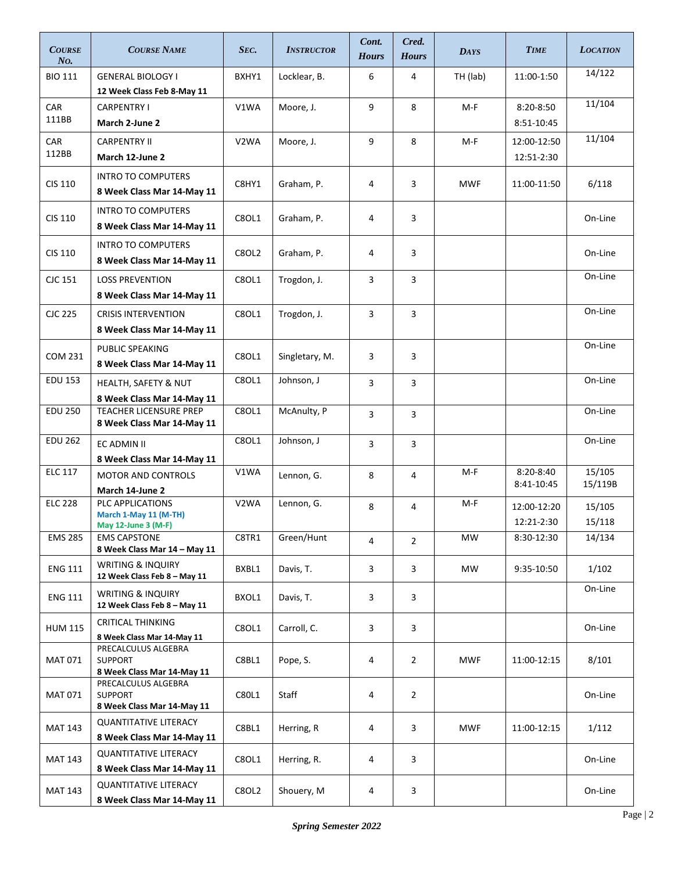| <b>COURSE</b><br>$N0$ . | <b>COURSE NAME</b>                                                  | SEC.              | <b>INSTRUCTOR</b> | Cont.<br><b>Hours</b> | Cred.<br><b>Hours</b> | <b>DAYS</b> | <b>TIME</b>                 | <b>LOCATION</b>   |
|-------------------------|---------------------------------------------------------------------|-------------------|-------------------|-----------------------|-----------------------|-------------|-----------------------------|-------------------|
| <b>BIO 111</b>          | <b>GENERAL BIOLOGY I</b><br>12 Week Class Feb 8-May 11              | BXHY1             | Locklear, B.      | 6                     | 4                     | TH (lab)    | 11:00-1:50                  | 14/122            |
| <b>CAR</b><br>111BB     | <b>CARPENTRY I</b><br>March 2-June 2                                | V1WA              | Moore, J.         | 9                     | 8                     | $M-F$       | $8:20 - 8:50$<br>8:51-10:45 | 11/104            |
| CAR<br>112BB            | <b>CARPENTRY II</b><br>March 12-June 2                              | V <sub>2</sub> WA | Moore, J.         | 9                     | 8                     | $M-F$       | 12:00-12:50<br>12:51-2:30   | 11/104            |
| <b>CIS 110</b>          | <b>INTRO TO COMPUTERS</b><br>8 Week Class Mar 14-May 11             | C8HY1             | Graham, P.        | 4                     | 3                     | <b>MWF</b>  | 11:00-11:50                 | 6/118             |
| <b>CIS 110</b>          | <b>INTRO TO COMPUTERS</b><br>8 Week Class Mar 14-May 11             | C8OL1             | Graham, P.        | 4                     | 3                     |             |                             | On-Line           |
| <b>CIS 110</b>          | <b>INTRO TO COMPUTERS</b><br>8 Week Class Mar 14-May 11             | <b>C8OL2</b>      | Graham, P.        | 4                     | 3                     |             |                             | On-Line           |
| CJC 151                 | <b>LOSS PREVENTION</b><br>8 Week Class Mar 14-May 11                | <b>C8OL1</b>      | Trogdon, J.       | 3                     | 3                     |             |                             | On-Line           |
| <b>CJC 225</b>          | <b>CRISIS INTERVENTION</b><br>8 Week Class Mar 14-May 11            | C8OL1             | Trogdon, J.       | 3                     | $\overline{3}$        |             |                             | On-Line           |
| <b>COM 231</b>          | PUBLIC SPEAKING<br>8 Week Class Mar 14-May 11                       | C8OL1             | Singletary, M.    | 3                     | 3                     |             |                             | On-Line           |
| <b>EDU 153</b>          | HEALTH, SAFETY & NUT<br>8 Week Class Mar 14-May 11                  | C8OL1             | Johnson, J        | $\overline{3}$        | 3                     |             |                             | On-Line           |
| <b>EDU 250</b>          | <b>TEACHER LICENSURE PREP</b><br>8 Week Class Mar 14-May 11         | C8OL1             | McAnulty, P       | 3                     | 3                     |             |                             | On-Line           |
| <b>EDU 262</b>          | EC ADMIN II<br>8 Week Class Mar 14-May 11                           | C8OL1             | Johnson, J        | 3                     | 3                     |             |                             | On-Line           |
| <b>ELC 117</b>          | <b>MOTOR AND CONTROLS</b><br>March 14-June 2                        | V1WA              | Lennon, G.        | 8                     | 4                     | $M-F$       | 8:20-8:40<br>8:41-10:45     | 15/105<br>15/119B |
| <b>ELC 228</b>          | PLC APPLICATIONS<br>March 1-May 11 (M-TH)<br>May 12-June 3 (M-F)    | V <sub>2</sub> WA | Lennon, G.        | 8                     | 4                     | $M-F$       | 12:00-12:20<br>12:21-2:30   | 15/105<br>15/118  |
| <b>EMS 285</b>          | <b>EMS CAPSTONE</b><br>8 Week Class Mar 14 - May 11                 | C8TR1             | Green/Hunt        | 4                     | $\overline{2}$        | MW          | 8:30-12:30                  | 14/134            |
| <b>ENG 111</b>          | <b>WRITING &amp; INQUIRY</b><br>12 Week Class Feb 8 - May 11        | BXBL1             | Davis, T.         | 3                     | 3                     | MW          | 9:35-10:50                  | 1/102             |
| <b>ENG 111</b>          | <b>WRITING &amp; INQUIRY</b><br>12 Week Class Feb 8 - May 11        | BXOL1             | Davis, T.         | 3                     | 3                     |             |                             | On-Line           |
| <b>HUM 115</b>          | <b>CRITICAL THINKING</b><br>8 Week Class Mar 14-May 11              | C8OL1             | Carroll, C.       | 3                     | 3                     |             |                             | On-Line           |
| <b>MAT 071</b>          | PRECALCULUS ALGEBRA<br><b>SUPPORT</b><br>8 Week Class Mar 14-May 11 | C8BL1             | Pope, S.          | 4                     | $\overline{2}$        | <b>MWF</b>  | 11:00-12:15                 | 8/101             |
| <b>MAT 071</b>          | PRECALCULUS ALGEBRA<br><b>SUPPORT</b><br>8 Week Class Mar 14-May 11 | C80L1             | Staff             | 4                     | $\overline{2}$        |             |                             | On-Line           |
| <b>MAT 143</b>          | <b>QUANTITATIVE LITERACY</b><br>8 Week Class Mar 14-May 11          | C8BL1             | Herring, R        | 4                     | 3                     | <b>MWF</b>  | 11:00-12:15                 | 1/112             |
| <b>MAT 143</b>          | <b>QUANTITATIVE LITERACY</b><br>8 Week Class Mar 14-May 11          | C8OL1             | Herring, R.       | 4                     | 3                     |             |                             | On-Line           |
| <b>MAT 143</b>          | <b>QUANTITATIVE LITERACY</b><br>8 Week Class Mar 14-May 11          | C8OL2             | Shouery, M        | 4                     | 3                     |             |                             | On-Line           |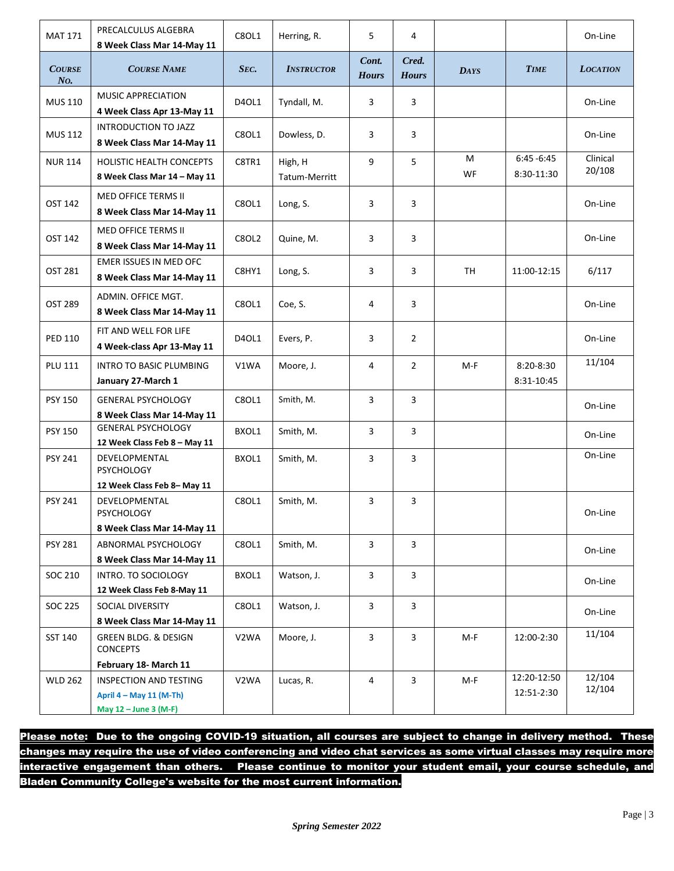| <b>MAT 171</b>          | PRECALCULUS ALGEBRA<br>8 Week Class Mar 14-May 11                                 | C8OL1        | Herring, R.              | 5                     | 4                     |             |                             | On-Line            |
|-------------------------|-----------------------------------------------------------------------------------|--------------|--------------------------|-----------------------|-----------------------|-------------|-----------------------------|--------------------|
| <b>COURSE</b><br>$N0$ . | <b>COURSE NAME</b>                                                                | SEC.         | <b>INSTRUCTOR</b>        | Cont.<br><b>Hours</b> | Cred.<br><b>Hours</b> | <b>DAYS</b> | <b>TIME</b>                 | <b>LOCATION</b>    |
| <b>MUS 110</b>          | MUSIC APPRECIATION<br>4 Week Class Apr 13-May 11                                  | D40L1        | Tyndall, M.              | 3                     | 3                     |             |                             | On-Line            |
| <b>MUS 112</b>          | INTRODUCTION TO JAZZ<br>8 Week Class Mar 14-May 11                                | C8OL1        | Dowless, D.              | 3                     | 3                     |             |                             | On-Line            |
| <b>NUR 114</b>          | HOLISTIC HEALTH CONCEPTS<br>8 Week Class Mar 14 - May 11                          | C8TR1        | High, H<br>Tatum-Merritt | 9                     | 5                     | м<br>WF     | $6:45 - 6:45$<br>8:30-11:30 | Clinical<br>20/108 |
| OST 142                 | MED OFFICE TERMS II<br>8 Week Class Mar 14-May 11                                 | C8OL1        | Long, S.                 | 3                     | 3                     |             |                             | On-Line            |
| OST 142                 | MED OFFICE TERMS II<br>8 Week Class Mar 14-May 11                                 | <b>C8OL2</b> | Quine, M.                | 3                     | 3                     |             |                             | On-Line            |
| OST 281                 | EMER ISSUES IN MED OFC<br>8 Week Class Mar 14-May 11                              | C8HY1        | Long, S.                 | 3                     | 3                     | <b>TH</b>   | 11:00-12:15                 | 6/117              |
| OST 289                 | ADMIN. OFFICE MGT.<br>8 Week Class Mar 14-May 11                                  | C8OL1        | Coe, S.                  | 4                     | 3                     |             |                             | On-Line            |
| <b>PED 110</b>          | FIT AND WELL FOR LIFE<br>4 Week-class Apr 13-May 11                               | D40L1        | Evers, P.                | 3                     | 2                     |             |                             | On-Line            |
| <b>PLU 111</b>          | <b>INTRO TO BASIC PLUMBING</b><br>January 27-March 1                              | V1WA         | Moore, J.                | 4                     | $\overline{2}$        | $M-F$       | 8:20-8:30<br>8:31-10:45     | 11/104             |
| <b>PSY 150</b>          | <b>GENERAL PSYCHOLOGY</b><br>8 Week Class Mar 14-May 11                           | C8OL1        | Smith, M.                | $\overline{3}$        | 3                     |             |                             | On-Line            |
| <b>PSY 150</b>          | <b>GENERAL PSYCHOLOGY</b><br>12 Week Class Feb 8 - May 11                         | BXOL1        | Smith, M.                | 3                     | 3                     |             |                             | On-Line            |
| <b>PSY 241</b>          | DEVELOPMENTAL<br><b>PSYCHOLOGY</b>                                                | BXOL1        | Smith, M.                | 3                     | 3                     |             |                             | On-Line            |
| <b>PSY 241</b>          | 12 Week Class Feb 8-May 11<br>DEVELOPMENTAL<br>PSYCHOLOGY                         | C8OL1        | Smith, M.                | 3                     | 3                     |             |                             | On-Line            |
|                         | 8 Week Class Mar 14-May 11                                                        |              |                          |                       |                       |             |                             |                    |
| <b>PSY 281</b>          | ABNORMAL PSYCHOLOGY                                                               | C8OL1        | Smith. M.                | $\mathbf{3}$          | 3                     |             |                             | On-Line            |
|                         | 8 Week Class Mar 14-May 11                                                        |              |                          |                       |                       |             |                             |                    |
| SOC 210                 | INTRO. TO SOCIOLOGY                                                               | BXOL1        | Watson, J.               | 3                     | $\overline{3}$        |             |                             | On-Line            |
|                         | 12 Week Class Feb 8-May 11                                                        |              |                          |                       |                       |             |                             |                    |
| SOC 225                 | SOCIAL DIVERSITY                                                                  | C8OL1        | Watson, J.               | $\mathbf{3}$          | 3                     |             |                             | On-Line            |
| SST 140                 | 8 Week Class Mar 14-May 11<br><b>GREEN BLDG, &amp; DESIGN</b><br><b>CONCEPTS</b>  | V2WA         | Moore, J.                | $\mathbf{3}$          | 3                     | M-F         | 12:00-2:30                  | 11/104             |
|                         | February 18- March 11                                                             |              |                          |                       |                       |             |                             |                    |
| <b>WLD 262</b>          | <b>INSPECTION AND TESTING</b><br>April 4 - May 11 (M-Th)<br>May 12 - June 3 (M-F) | V2WA         | Lucas, R.                | 4                     | 3                     | M-F         | 12:20-12:50<br>12:51-2:30   | 12/104<br>12/104   |

Please note: Due to the ongoing COVID-19 situation, all courses are subject to change in delivery method. These changes may require the use of video conferencing and video chat services as some virtual classes may require more interactive engagement than others. Please continue to monitor your student email, your course schedule, and Bladen Community College's website for the most current information.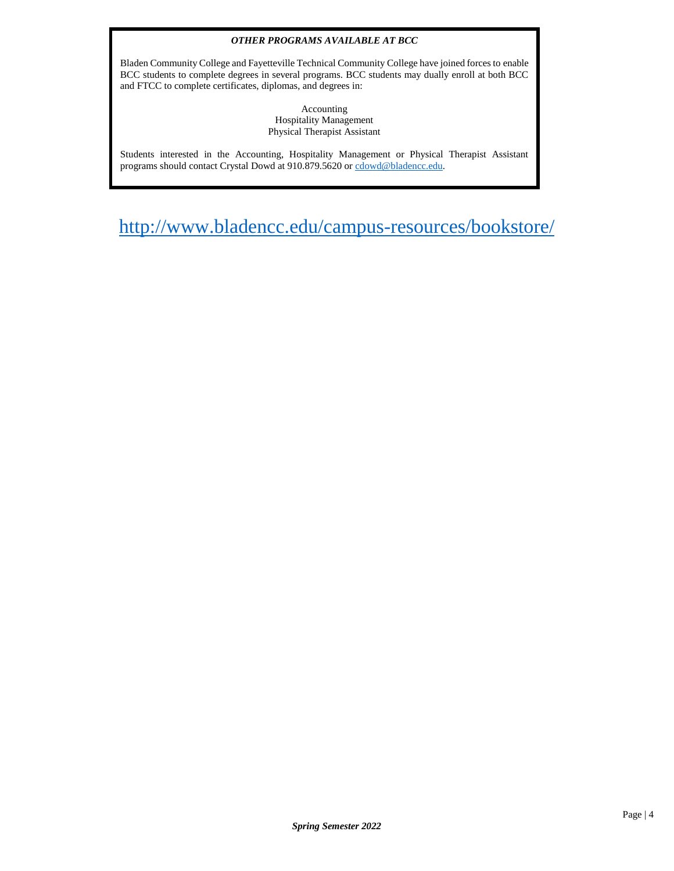#### *OTHER PROGRAMS AVAILABLE AT BCC*

Bladen Community College and Fayetteville Technical Community College have joined forces to enable BCC students to complete degrees in several programs. BCC students may dually enroll at both BCC and FTCC to complete certificates, diplomas, and degrees in:

> Accounting Hospitality Management Physical Therapist Assistant

Students interested in the Accounting, Hospitality Management or Physical Therapist Assistant programs should contact Crystal Dowd at 910.879.5620 o[r cdowd@bladencc.edu.](mailto:cdowd@bladencc.edu)

<http://www.bladencc.edu/campus-resources/bookstore/>